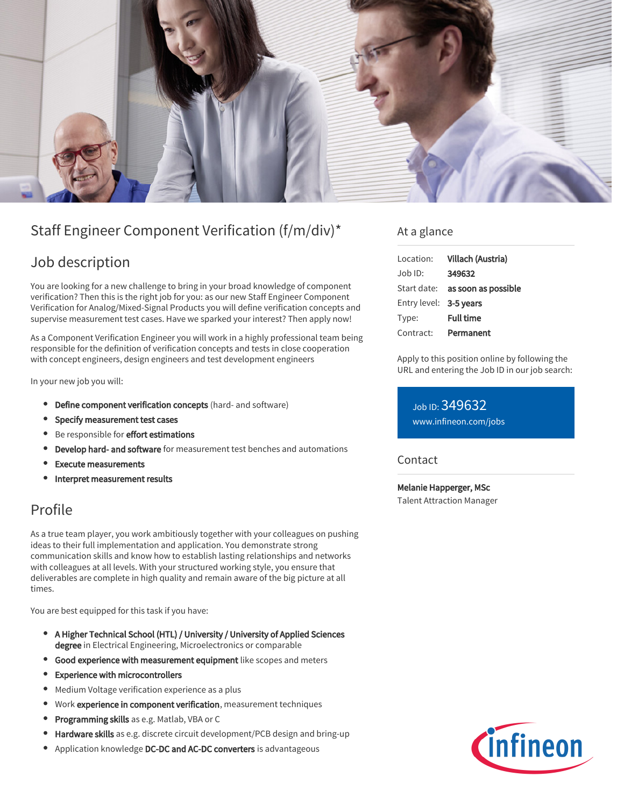

# Staff Engineer Component Verification (f/m/div)\*

## Job description

You are looking for a new challenge to bring in your broad knowledge of component verification? Then this is the right job for you: as our new Staff Engineer Component Verification for Analog/Mixed-Signal Products you will define verification concepts and supervise measurement test cases. Have we sparked your interest? Then apply now!

As a Component Verification Engineer you will work in a highly professional team being responsible for the definition of verification concepts and tests in close cooperation with concept engineers, design engineers and test development engineers

In your new job you will:

- Define component verification concepts (hard- and software)
- Specify measurement test cases
- **Be responsible for effort estimations**
- **Develop hard- and software** for measurement test benches and automations
- Execute measurements
- Interpret measurement results

## Profile

As a true team player, you work ambitiously together with your colleagues on pushing ideas to their full implementation and application. You demonstrate strong communication skills and know how to establish lasting relationships and networks with colleagues at all levels. With your structured working style, you ensure that deliverables are complete in high quality and remain aware of the big picture at all times.

You are best equipped for this task if you have:

- A Higher Technical School (HTL) / University / University of Applied Sciences  $\bullet$ degree in Electrical Engineering, Microelectronics or comparable
- **Good experience with measurement equipment** like scopes and meters
- Experience with microcontrollers  $\bullet$
- Medium Voltage verification experience as a plus
- Work experience in component verification, measurement techniques  $\bullet$
- Programming skills as e.g. Matlab, VBA or C ٠
- Hardware skills as e.g. discrete circuit development/PCB design and bring-up
- Application knowledge DC-DC and AC-DC converters is advantageous

### At a glance

| Location:              | Villach (Austria)                      |
|------------------------|----------------------------------------|
| Job ID:                | 349632                                 |
|                        | Start date: <b>as soon as possible</b> |
| Entry level: 3-5 years |                                        |
| Type:                  | <b>Full time</b>                       |
| Contract:              | Permanent                              |

Apply to this position online by following the URL and entering the Job ID in our job search:

Job ID: 349632 [www.infineon.com/jobs](https://www.infineon.com/jobs)

#### Contact

Melanie Happerger, MSc Talent Attraction Manager

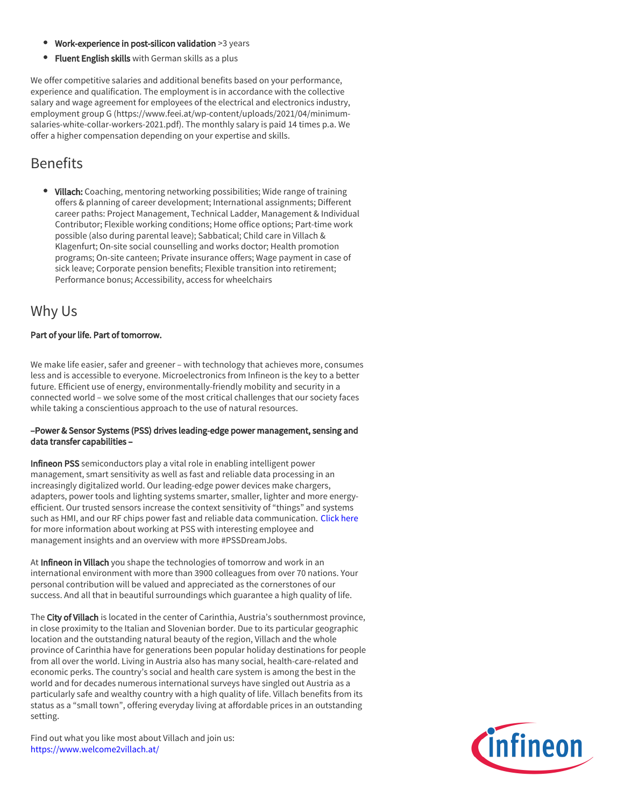- Work-experience in post-silicon validation >3 years
- **Fluent English skills** with German skills as a plus

We offer competitive salaries and additional benefits based on your performance, experience and qualification. The employment is in accordance with the collective salary and wage agreement for employees of the electrical and electronics industry, employment group G (https://www.feei.at/wp-content/uploads/2021/04/minimumsalaries-white-collar-workers-2021.pdf). The monthly salary is paid 14 times p.a. We offer a higher compensation depending on your expertise and skills.

## **Benefits**

• Villach: Coaching, mentoring networking possibilities; Wide range of training offers & planning of career development; International assignments; Different career paths: Project Management, Technical Ladder, Management & Individual Contributor; Flexible working conditions; Home office options; Part-time work possible (also during parental leave); Sabbatical; Child care in Villach & Klagenfurt; On-site social counselling and works doctor; Health promotion programs; On-site canteen; Private insurance offers; Wage payment in case of sick leave; Corporate pension benefits; Flexible transition into retirement; Performance bonus; Accessibility, access for wheelchairs

## Why Us

#### Part of your life. Part of tomorrow.

We make life easier, safer and greener – with technology that achieves more, consumes less and is accessible to everyone. Microelectronics from Infineon is the key to a better future. Efficient use of energy, environmentally-friendly mobility and security in a connected world – we solve some of the most critical challenges that our society faces while taking a conscientious approach to the use of natural resources.

#### –Power & Sensor Systems (PSS) drives leading-edge power management, sensing and data transfer capabilities –

Infineon PSS semiconductors play a vital role in enabling intelligent power management, smart sensitivity as well as fast and reliable data processing in an increasingly digitalized world. Our leading-edge power devices make chargers, adapters, power tools and lighting systems smarter, smaller, lighter and more energyefficient. Our trusted sensors increase the context sensitivity of "things" and systems such as HMI, and our RF chips power fast and reliable data communication. [Click here](https://www.infineon.com/cms/en/careers/working-at-infineon/PSSDreamJob/) for more information about working at PSS with interesting employee and management insights and an overview with more #PSSDreamJobs.

At Infineon in Villach you shape the technologies of tomorrow and work in an international environment with more than 3900 colleagues from over 70 nations. Your personal contribution will be valued and appreciated as the cornerstones of our success. And all that in beautiful surroundings which guarantee a high quality of life.

The City of Villach is located in the center of Carinthia, Austria's southernmost province, in close proximity to the Italian and Slovenian border. Due to its particular geographic location and the outstanding natural beauty of the region, Villach and the whole province of Carinthia have for generations been popular holiday destinations for people from all over the world. Living in Austria also has many social, health-care-related and economic perks. The country's social and health care system is among the best in the world and for decades numerous international surveys have singled out Austria as a particularly safe and wealthy country with a high quality of life. Villach benefits from its status as a "small town", offering everyday living at affordable prices in an outstanding setting.

Find out what you like most about Villach and join us: <https://www.welcome2villach.at/>